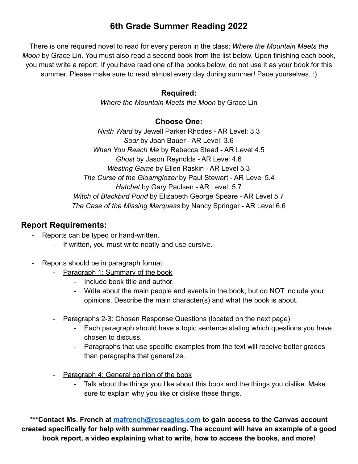# **6th Grade Summer Reading 2022**

There is one required novel to read for every person in the class: *Where the Mountain Meets the Moon* by Grace Lin. You must also read a second book from the list below. Upon finishing each book, you must write a report. If you have read one of the books below, do not use it as your book for this summer. Please make sure to read almost every day during summer! Pace yourselves. :)

## **Required:**

*Where the Mountain Meets the Moon* by Grace Lin

## **Choose One:**

*Ninth Ward* by Jewell Parker Rhodes - AR Level: 3.3 *Soar* by Joan Bauer - AR Level: 3.6 *When You Reach Me* by Rebecca Stead - AR Level 4.5 *Ghost* by Jason Reynolds - AR Level 4.6 *Westing Game* by Ellen Raskin - AR Level 5.3 *The Curse of the Gloamglozer* by Paul Stewart - AR Level 5.4 *Hatchet* by Gary Paulsen - AR Level: 5.7 *Witch of Blackbird Pond* by Elizabeth George Speare - AR Level 5.7 *The Case of the Missing Marquess* by Nancy Springer - AR Level 6.6

# **Report Requirements:**

- Reports can be typed or hand-written.
	- If written, you must write neatly and use cursive.
- Reports should be in paragraph format:
	- Paragraph 1: Summary of the book
		- Include book title and author.
		- Write about the main people and events in the book, but do NOT include your opinions. Describe the main character(s) and what the book is about.
	- Paragraphs 2-3: Chosen Response Questions (located on the next page)
		- Each paragraph should have a topic sentence stating which questions you have chosen to discuss.
		- Paragraphs that use specific examples from the text will receive better grades than paragraphs that generalize.
	- Paragraph 4: General opinion of the book
		- Talk about the things you like about this book and the things you dislike. Make sure to explain why you like or dislike these things.

**\*\*\*Contact Ms. French at [mafrench@rcseagles.com](mailto:mafrench@rcseagles.com) to gain access to the Canvas account created specifically for help with summer reading. The account will have an example of a good book report, a video explaining what to write, how to access the books, and more!**